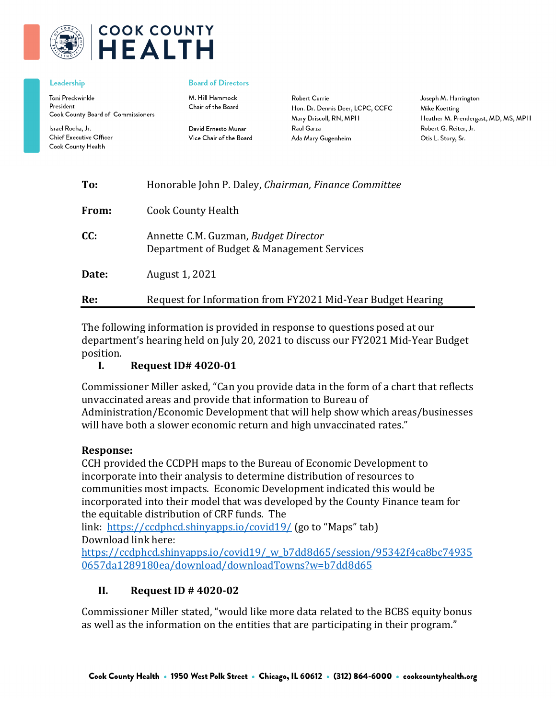

# **COOK COUNTY HEALTH**

#### Leadership

Toni Preckwinkle President Cook County Board of Commissioners

Israel Rocha, Jr. **Chief Executive Officer** Cook County Health

#### **Board of Directors**

M. Hill Hammock Chair of the Board

David Ernesto Munar Vice Chair of the Board

**Robert Currie** Hon. Dr. Dennis Deer, LCPC, CCFC Mary Driscoll, RN, MPH Raul Garza Ada Mary Gugenheim

Joseph M. Harrington Mike Koetting Heather M. Prendergast, MD, MS, MPH Robert G. Reiter, Jr. Otis L. Story, Sr.

| Re:   | Request for Information from FY2021 Mid-Year Budget Hearing                        |
|-------|------------------------------------------------------------------------------------|
| Date: | August 1, 2021                                                                     |
| CC:   | Annette C.M. Guzman, Budget Director<br>Department of Budget & Management Services |
| From: | Cook County Health                                                                 |
| To:   | Honorable John P. Daley, Chairman, Finance Committee                               |

The following information is provided in response to questions posed at our department's hearing held on July 20, 2021 to discuss our FY2021 Mid-Year Budget position.<br>I.

# **I. Request ID# 4020-01**

Commissioner Miller asked, "Can you provide data in the form of a chart that reflects unvaccinated areas and provide that information to Bureau of Administration/Economic Development that will help show which areas/businesses will have both a slower economic return and high unvaccinated rates."

#### **Response:**

CCH provided the CCDPH maps to the Bureau of Economic Development to incorporate into their analysis to determine distribution of resources to communities most impacts. Economic Development indicated this would be incorporated into their model that was developed by the County Finance team for the equitable distribution of CRF funds. The

link: [https://ccdphcd.shinyapps.io/covid19/](https://nam12.safelinks.protection.outlook.com/?url=https%3A%2F%2Fccdphcd.shinyapps.io%2Fcovid19%2F&data=04%7C01%7Camgibson%40cookcountyhhs.org%7C60586878e1254728ff6a08d94dde2d95%7C3b922295e886417faaa84e4c4f069d82%7C0%7C0%7C637626438957868889%7CUnknown%7CTWFpbGZsb3d8eyJWIjoiMC4wLjAwMDAiLCJQIjoiV2luMzIiLCJBTiI6Ik1haWwiLCJXVCI6Mn0%3D%7C1000&sdata=DAm2LOX3GY9althOl61BolzIFCD2A2fZ2W22HfVVsHw%3D&reserved=0) (go to "Maps" tab) Download link here:

[https://ccdphcd.shinyapps.io/covid19/\\_w\\_b7dd8d65/session/95342f4ca8bc74935](https://nam12.safelinks.protection.outlook.com/?url=https%3A%2F%2Fccdphcd.shinyapps.io%2Fcovid19%2F_w_b7dd8d65%2Fsession%2F95342f4ca8bc749350657da1289180ea%2Fdownload%2FdownloadTowns%3Fw%3Db7dd8d65&data=04%7C01%7Camgibson%40cookcountyhhs.org%7C60586878e1254728ff6a08d94dde2d95%7C3b922295e886417faaa84e4c4f069d82%7C0%7C0%7C637626438957878844%7CUnknown%7CTWFpbGZsb3d8eyJWIjoiMC4wLjAwMDAiLCJQIjoiV2luMzIiLCJBTiI6Ik1haWwiLCJXVCI6Mn0%3D%7C1000&sdata=x1l699VicuZyC9bVZ0K9SdYFULKi71QZsS3YjbhN8ms%3D&reserved=0) [0657da1289180ea/download/downloadTowns?w=b7dd8d65](https://nam12.safelinks.protection.outlook.com/?url=https%3A%2F%2Fccdphcd.shinyapps.io%2Fcovid19%2F_w_b7dd8d65%2Fsession%2F95342f4ca8bc749350657da1289180ea%2Fdownload%2FdownloadTowns%3Fw%3Db7dd8d65&data=04%7C01%7Camgibson%40cookcountyhhs.org%7C60586878e1254728ff6a08d94dde2d95%7C3b922295e886417faaa84e4c4f069d82%7C0%7C0%7C637626438957878844%7CUnknown%7CTWFpbGZsb3d8eyJWIjoiMC4wLjAwMDAiLCJQIjoiV2luMzIiLCJBTiI6Ik1haWwiLCJXVCI6Mn0%3D%7C1000&sdata=x1l699VicuZyC9bVZ0K9SdYFULKi71QZsS3YjbhN8ms%3D&reserved=0)

# **II. Request ID # 4020-02**

Commissioner Miller stated, "would like more data related to the BCBS equity bonus as well as the information on the entities that are participating in their program."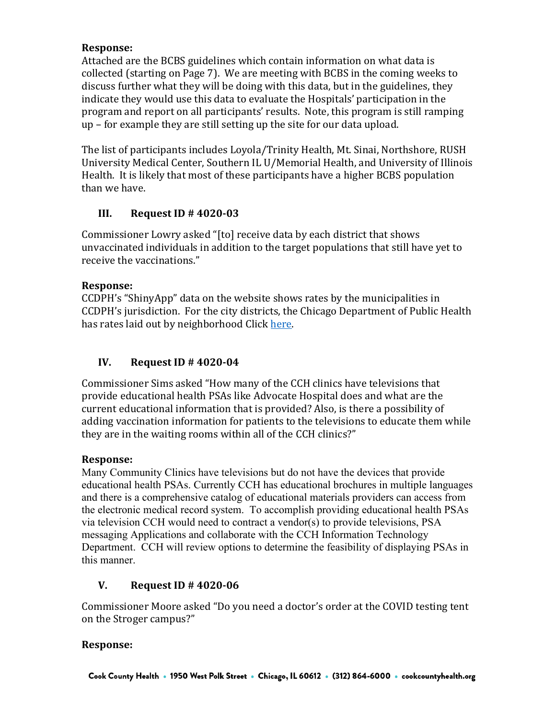# **Response:**

Attached are the BCBS guidelines which contain information on what data is collected (starting on Page 7). We are meeting with BCBS in the coming weeks to discuss further what they will be doing with this data, but in the guidelines, they indicate they would use this data to evaluate the Hospitals' participation in the program and report on all participants' results. Note, this program is still ramping up – for example they are still setting up the site for our data upload.

The list of participants includes Loyola/Trinity Health, Mt. Sinai, Northshore, RUSH University Medical Center, Southern IL U/Memorial Health, and University of Illinois Health. It is likely that most of these participants have a higher BCBS population than we have.

# **III. Request ID # 4020-03**

Commissioner Lowry asked "[to] receive data by each district that shows unvaccinated individuals in addition to the target populations that still have yet to receive the vaccinations."

# **Response:**

CCDPH's "ShinyApp" data on the website shows rates by the municipalities in CCDPH's jurisdiction. For the city districts, the Chicago Department of Public Health has rates laid out by neighborhood Click here.

# **IV. Request ID # 4020-04**

Commissioner Sims asked "How many of the CCH clinics have televisions that provide educational health PSAs like Advocate Hospital does and what are the current educational information that is provided? Also, is there a possibility of adding vaccination information for patients to the televisions to educate them while they are in the waiting rooms within all of the CCH clinics?"

# **Response:**

Many Community Clinics have televisions but do not have the devices that provide educational health PSAs. Currently CCH has educational brochures in multiple languages and there is a comprehensive catalog of educational materials providers can access from the electronic medical record system. To accomplish providing educational health PSAs via television CCH would need to contract a vendor(s) to provide televisions, PSA messaging Applications and collaborate with the CCH Information Technology Department. CCH will review options to determine the feasibility of displaying PSAs in this manner.

# **V. Request ID # 4020-06**

Commissioner Moore asked "Do you need a doctor's order at the COVID testing tent on the Stroger campus?"

# **Response:**